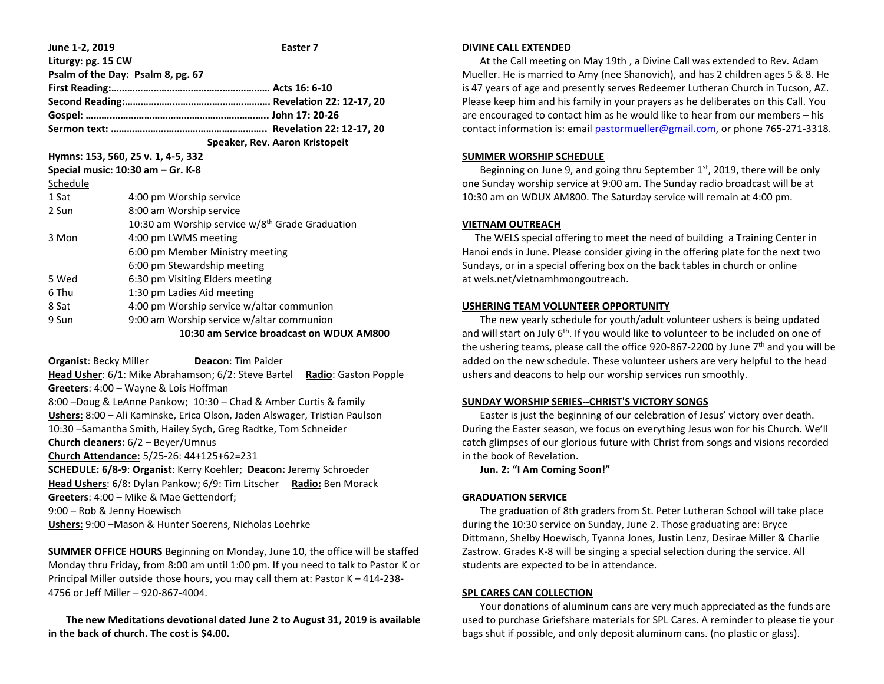| June 1-2, 2019                        | Easter 7                                                    |  |  |  |
|---------------------------------------|-------------------------------------------------------------|--|--|--|
| Liturgy: pg. 15 CW                    |                                                             |  |  |  |
| Psalm of the Day: Psalm 8, pg. 67     |                                                             |  |  |  |
|                                       |                                                             |  |  |  |
|                                       |                                                             |  |  |  |
|                                       |                                                             |  |  |  |
|                                       |                                                             |  |  |  |
| Speaker, Rev. Aaron Kristopeit        |                                                             |  |  |  |
| Hymns: 153, 560, 25 v. 1, 4-5, 332    |                                                             |  |  |  |
| Special music: $10:30$ am $-$ Gr. K-8 |                                                             |  |  |  |
| Schedule                              |                                                             |  |  |  |
| 1 Sat                                 | 4:00 pm Worship service                                     |  |  |  |
| 2 Sun                                 | 8:00 am Worship service                                     |  |  |  |
|                                       | 10:30 am Worship service w/8 <sup>th</sup> Grade Graduation |  |  |  |
| 3 Mon                                 | 4:00 pm LWMS meeting                                        |  |  |  |
|                                       | 6:00 pm Member Ministry meeting                             |  |  |  |
|                                       | 6:00 pm Stewardship meeting                                 |  |  |  |
| 5 Wed                                 | 6:30 pm Visiting Elders meeting                             |  |  |  |
| 6 Thu                                 | 1:30 pm Ladies Aid meeting                                  |  |  |  |
| 8 Sat                                 | 4:00 pm Worship service w/altar communion                   |  |  |  |
| 9 Sun                                 | 9:00 am Worship service w/altar communion                   |  |  |  |
|                                       | 10:30 am Service broadcast on WDUX AM800                    |  |  |  |
|                                       |                                                             |  |  |  |

**Organist: Becky Miller <b>Deacon**: Tim Paider **Head Usher**: 6/1: Mike Abrahamson; 6/2: Steve Bartel **Radio**: Gaston Popple **Greeters**: 4:00 – Wayne & Lois Hoffman 8:00 –Doug & LeAnne Pankow; 10:30 – Chad & Amber Curtis & family **Ushers:** 8:00 – Ali Kaminske, Erica Olson, Jaden Alswager, Tristian Paulson 10:30 –Samantha Smith, Hailey Sych, Greg Radtke, Tom Schneider **Church cleaners:** 6/2 – Beyer/Umnus **Church Attendance:** 5/25-26: 44+125+62=231 **SCHEDULE: 6/8-9**: **Organist**: Kerry Koehler; **Deacon:** Jeremy Schroeder **Head Ushers**: 6/8: Dylan Pankow; 6/9: Tim Litscher **Radio:** Ben Morack **Greeters**: 4:00 – Mike & Mae Gettendorf; 9:00 – Rob & Jenny Hoewisch **Ushers:** 9:00 –Mason & Hunter Soerens, Nicholas Loehrke

**SUMMER OFFICE HOURS** Beginning on Monday, June 10, the office will be staffed Monday thru Friday, from 8:00 am until 1:00 pm. If you need to talk to Pastor K or Principal Miller outside those hours, you may call them at: Pastor K – 414-238- 4756 or Jeff Miller – 920-867-4004.

 **The new Meditations devotional dated June 2 to August 31, 2019 is available in the back of church. The cost is \$4.00.**

### **DIVINE CALL EXTENDED**

 At the Call meeting on May 19th , a Divine Call was extended to Rev. Adam Mueller. He is married to Amy (nee Shanovich), and has 2 children ages 5 & 8. He is 47 years of age and presently serves Redeemer Lutheran Church in Tucson, AZ. Please keep him and his family in your prayers as he deliberates on this Call. You are encouraged to contact him as he would like to hear from our members – his contact information is: email [pastormueller@gmail.com,](mailto:pastormueller@gmail.com) or phone 765-271-3318.

### **SUMMER WORSHIP SCHEDULE**

Beginning on June 9, and going thru September  $1<sup>st</sup>$ , 2019, there will be only one Sunday worship service at 9:00 am. The Sunday radio broadcast will be at 10:30 am on WDUX AM800. The Saturday service will remain at 4:00 pm.

# **VIETNAM OUTREACH**

 The WELS special offering to meet the need of building a Training Center in Hanoi ends in June. Please consider giving in the offering plate for the next two Sundays, or in a special offering box on the back tables in church or online at wels.net/vietnamhmongoutreach.

## **USHERING TEAM VOLUNTEER OPPORTUNITY**

 The new yearly schedule for youth/adult volunteer ushers is being updated and will start on July  $6<sup>th</sup>$ . If you would like to volunteer to be included on one of the ushering teams, please call the office 920-867-2200 by June  $7<sup>th</sup>$  and you will be added on the new schedule. These volunteer ushers are very helpful to the head ushers and deacons to help our worship services run smoothly.

# **SUNDAY WORSHIP SERIES--CHRIST'S VICTORY SONGS**

 Easter is just the beginning of our celebration of Jesus' victory over death. During the Easter season, we focus on everything Jesus won for his Church. We'll catch glimpses of our glorious future with Christ from songs and visions recorded in the book of Revelation.

**Jun. 2: "I Am Coming Soon!"**

# **GRADUATION SERVICE**

 The graduation of 8th graders from St. Peter Lutheran School will take place during the 10:30 service on Sunday, June 2. Those graduating are: Bryce Dittmann, Shelby Hoewisch, Tyanna Jones, Justin Lenz, Desirae Miller & Charlie Zastrow. Grades K-8 will be singing a special selection during the service. All students are expected to be in attendance.

# **SPL CARES CAN COLLECTION**

 Your donations of aluminum cans are very much appreciated as the funds are used to purchase Griefshare materials for SPL Cares. A reminder to please tie your bags shut if possible, and only deposit aluminum cans. (no plastic or glass).